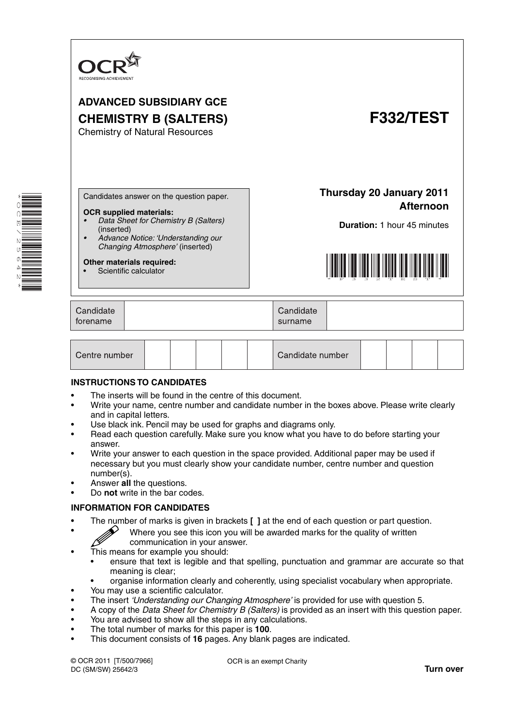

# **ADVANCED SUBSIDIARY GCE CHEMISTRY B (SALTERS) F332/TEST**

Chemistry of Natural Resources

\* OQ  $\vert \overline{\text{r}} \vert$  $\overline{\phantom{0}}$ N ת) 0 4<br>4<br>\*

Candidates answer on the question paper.

#### **OCR supplied materials:**

- *Data Sheet for Chemistry B (Salters)* (inserted)
	- *Advance Notice: 'Understanding our Changing Atmosphere'* (inserted)

#### **Other materials required:**

Scientific calculator

**Afternoon Duration:** 1 hour 45 minutes

**Thursday 20 January 2011**



| Candidate<br>torename |  | Candidate<br>surname |  |
|-----------------------|--|----------------------|--|
|-----------------------|--|----------------------|--|

| Centre number |  |  |  |  |  | Candidate number |  |  |  |  |  |
|---------------|--|--|--|--|--|------------------|--|--|--|--|--|
|---------------|--|--|--|--|--|------------------|--|--|--|--|--|

#### **INSTRUCTIONS TO CANDIDATES**

- The inserts will be found in the centre of this document.
- Write your name, centre number and candidate number in the boxes above. Please write clearly and in capital letters.
- Use black ink. Pencil may be used for graphs and diagrams only.
- Read each question carefully. Make sure you know what you have to do before starting your answer.
- Write your answer to each question in the space provided. Additional paper may be used if necessary but you must clearly show your candidate number, centre number and question number(s).
- Answer **all** the questions.
- Do **not** write in the bar codes.

#### **INFORMATION FOR CANDIDATES**

- The number of marks is given in brackets **[ ]** at the end of each question or part question.
	- Where you see this icon you will be awarded marks for the quality of written communication in your answer.
- This means for example you should:
	- ensure that text is legible and that spelling, punctuation and grammar are accurate so that meaning is clear;
	- organise information clearly and coherently, using specialist vocabulary when appropriate.
- You may use a scientific calculator.
- The insert *'Understanding our Changing Atmosphere'* is provided for use with question 5.
- A copy of the *Data Sheet for Chemistry B (Salters)* is provided as an insert with this question paper.
- You are advised to show all the steps in any calculations.
- The total number of marks for this paper is **100**.
- This document consists of **16** pages. Any blank pages are indicated.

© OCR 2011 [T/500/7966] DC (SM/SW) 25642/3

OCR is an exempt Charity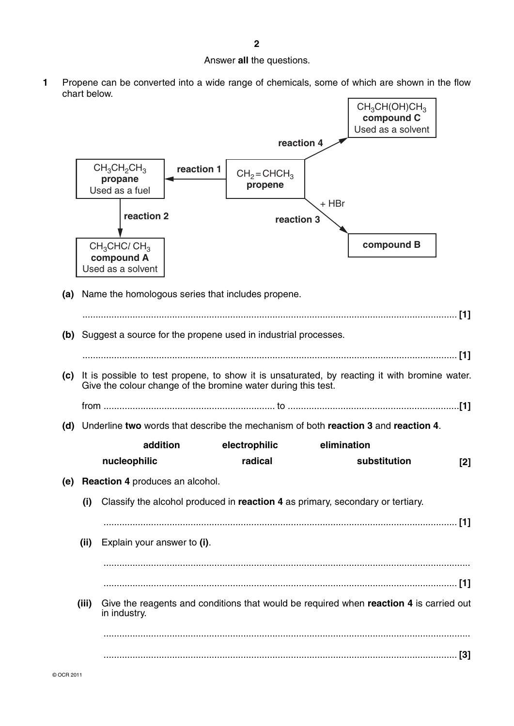### Answer **all** the questions.

**1** Propene can be converted into a wide range of chemicals, some of which are shown in the flow chart below.

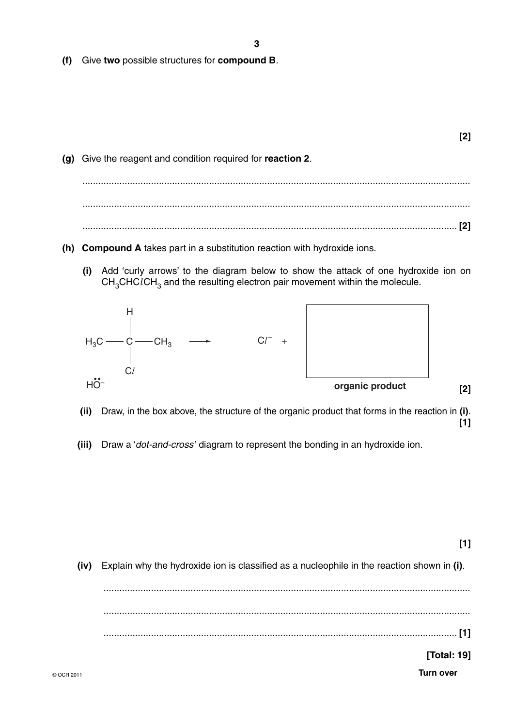- 3
- (f) Give two possible structures for compound B.

- (g) Give the reagent and condition required for reaction 2.
- (h) Compound A takes part in a substitution reaction with hydroxide ions.
	- (i) Add 'curly arrows' to the diagram below to show the attack of one hydroxide ion on  $CH<sub>3</sub>CHCICH<sub>3</sub>$  and the resulting electron pair movement within the molecule.



- (ii) Draw, in the box above, the structure of the organic product that forms in the reaction in (i).  $[1]$
- (iii) Draw a '*dot-and-cross'* diagram to represent the bonding in an hydroxide ion.

 $[1]$ 

 $[2]$ 

 $[2]$ 

(iv) Explain why the hydroxide ion is classified as a nucleophile in the reaction shown in (i).

[Total: 19]

**Turn over**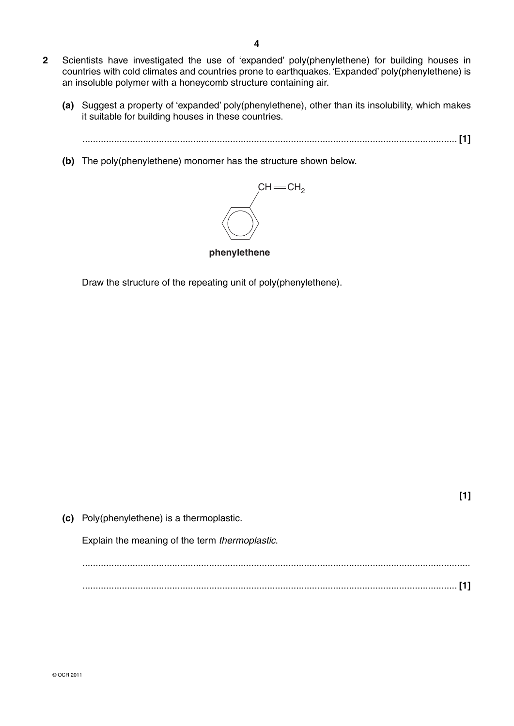- **2** Scientists have investigated the use of 'expanded' poly(phenylethene) for building houses in countries with cold climates and countries prone to earthquakes. 'Expanded' poly(phenylethene) is an insoluble polymer with a honeycomb structure containing air.
	- **(a)** Suggest a property of 'expanded' poly(phenylethene), other than its insolubility, which makes it suitable for building houses in these countries.
		- .............................................................................................................................................. **[1]**
	- **(b)** The poly(phenylethene) monomer has the structure shown below.



**phenylethene**

Draw the structure of the repeating unit of poly(phenylethene).

| (c) Poly(phenylethene) is a thermoplastic.     |  |
|------------------------------------------------|--|
| Explain the meaning of the term thermoplastic. |  |
|                                                |  |
|                                                |  |

**[1]**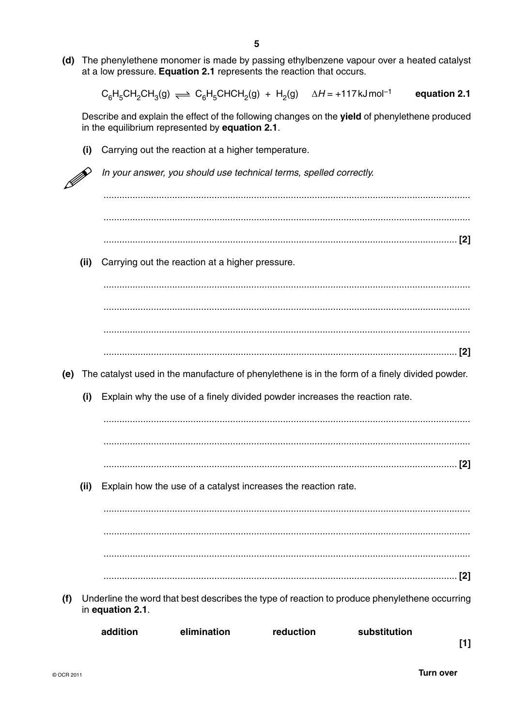(d) The phenylethene monomer is made by passing ethylbenzene vapour over a heated catalyst at a low pressure. Equation 2.1 represents the reaction that occurs.

 $\Delta H = +117$  kJ mol<sup>-1</sup>  $C_6H_5CH_2CH_3(g) \rightleftharpoons C_6H_5CHCH_2(g) + H_2(g)$ equation 2.1

Describe and explain the effect of the following changes on the yield of phenylethene produced in the equilibrium represented by equation 2.1.

Carrying out the reaction at a higher temperature.  $(i)$ 

In your answer, you should use technical terms, spelled correctly.  $(ii)$ Carrying out the reaction at a higher pressure. (e) The catalyst used in the manufacture of phenylethene is in the form of a finely divided powder.  $(i)$ Explain why the use of a finely divided powder increases the reaction rate.  $(iii)$ Explain how the use of a catalyst increases the reaction rate. 

(f) Underline the word that best describes the type of reaction to produce phenylethene occurring in equation 2.1.

| addition | elimination | reduction | substitution |
|----------|-------------|-----------|--------------|
|          |             |           |              |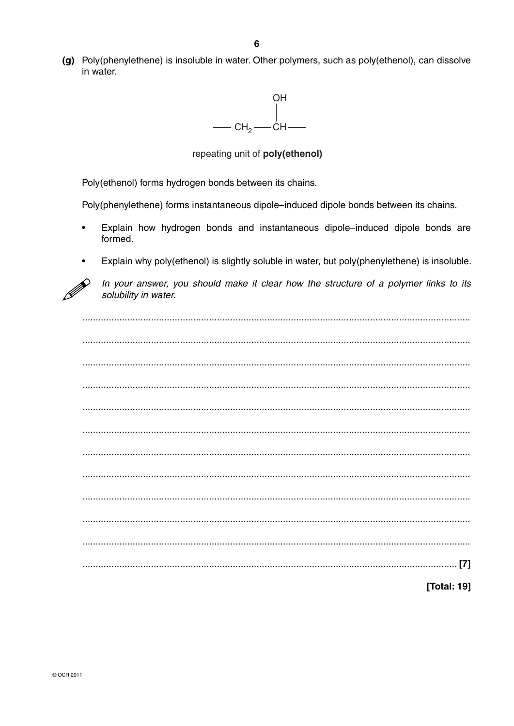(g) Poly(phenylethene) is insoluble in water. Other polymers, such as poly(ethenol), can dissolve in water.



repeating unit of poly(ethenol)

Poly(ethenol) forms hydrogen bonds between its chains.

Poly(phenylethene) forms instantaneous dipole–induced dipole bonds between its chains.

- Explain how hydrogen bonds and instantaneous dipole-induced dipole bonds are formed.
- Explain why poly(ethenol) is slightly soluble in water, but poly(phenylethene) is insoluble.



In your answer, you should make it clear how the structure of a polymer links to its solubility in water.

[Total: 19]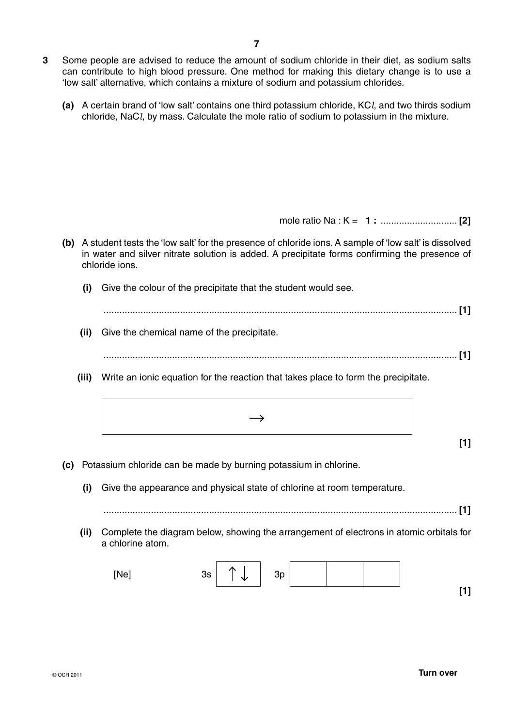- **3** Some people are advised to reduce the amount of sodium chloride in their diet, as sodium salts can contribute to high blood pressure. One method for making this dietary change is to use a 'low salt' alternative, which contains a mixture of sodium and potassium chlorides.
	- **(a)** A certain brand of 'low salt' contains one third potassium chloride, KC*l*, and two thirds sodium chloride, NaC*l*, by mass. Calculate the mole ratio of sodium to potassium in the mixture.

mole ratio Na : K = **1 :** ............................. **[2]**

- **(b)** A student tests the 'low salt' for the presence of chloride ions. A sample of 'low salt' is dissolved in water and silver nitrate solution is added. A precipitate forms confirming the presence of chloride ions.
	- **(i)** Give the colour of the precipitate that the student would see.

 ...................................................................................................................................... **[1] (ii)** Give the chemical name of the precipitate.

...................................................................................................................................... **[1]**

- **(iii)** Write an ionic equation for the reaction that takes place to form the precipitate.
	- $\rightarrow$
- **(c)** Potassium chloride can be made by burning potassium in chlorine.
	- **(i)** Give the appearance and physical state of chlorine at room temperature.

...................................................................................................................................... **[1]**

 **(ii)** Complete the diagram below, showing the arrangement of electrons in atomic orbitals for a chlorine atom.

| [Ne] | 3s | ↑<br>∿ | 3p |  |  |      |
|------|----|--------|----|--|--|------|
|      |    |        |    |  |  | r. т |

**[1]**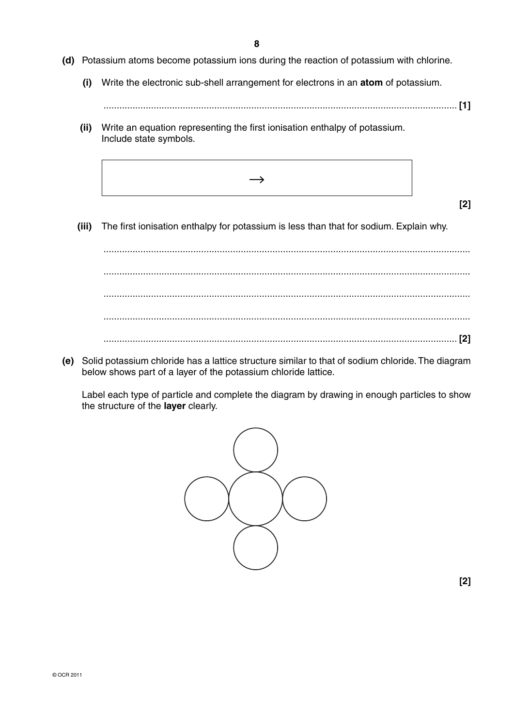**8**

- **(d)** Potassium atoms become potassium ions during the reaction of potassium with chlorine.
	- **(i)** Write the electronic sub-shell arrangement for electrons in an **atom** of potassium.
		- ...................................................................................................................................... **[1]**
	- **(ii)** Write an equation representing the first ionisation enthalpy of potassium. Include state symbols.
		- $\rightarrow$
- **[2]**
- **(iii)** The first ionisation enthalpy for potassium is less than that for sodium. Explain why.

 ........................................................................................................................................... ........................................................................................................................................... ........................................................................................................................................... ........................................................................................................................................... ...................................................................................................................................... **[2]**

 **(e)** Solid potassium chloride has a lattice structure similar to that of sodium chloride. The diagram below shows part of a layer of the potassium chloride lattice.

Label each type of particle and complete the diagram by drawing in enough particles to show the structure of the **layer** clearly.

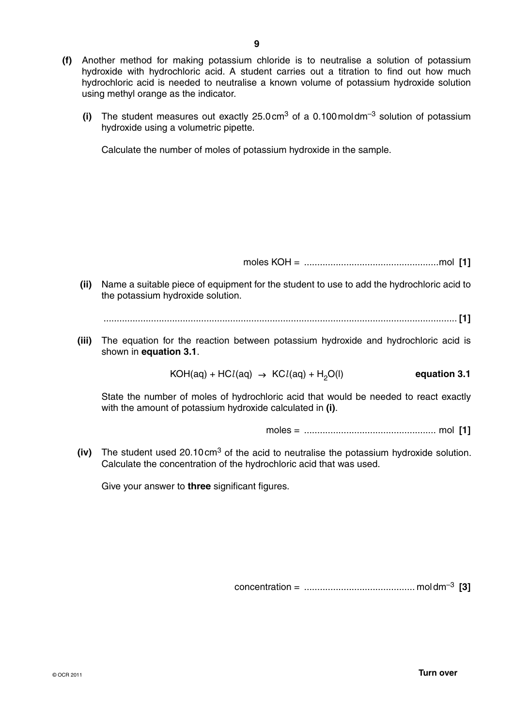- **(f)** Another method for making potassium chloride is to neutralise a solution of potassium hydroxide with hydrochloric acid. A student carries out a titration to find out how much hydrochloric acid is needed to neutralise a known volume of potassium hydroxide solution using methyl orange as the indicator.
	- **(i)** The student measures out exactly 25.0 cm<sup>3</sup> of a 0.100 moldm<sup>-3</sup> solution of potassium hydroxide using a volumetric pipette.

Calculate the number of moles of potassium hydroxide in the sample.

moles KOH = ...................................................mol **[1]**

 **(ii)** Name a suitable piece of equipment for the student to use to add the hydrochloric acid to the potassium hydroxide solution.

...................................................................................................................................... **[1]**

 **(iii)** The equation for the reaction between potassium hydroxide and hydrochloric acid is shown in **equation 3.1**.

 $KOH(aq) + HCl(aq) \rightarrow KCl(aq) + H<sub>2</sub>O(l)$  equation 3.1

State the number of moles of hydrochloric acid that would be needed to react exactly with the amount of potassium hydroxide calculated in **(i)**.

moles = .................................................. mol **[1]**

 **(iv)** The student used 20.10 cm3 of the acid to neutralise the potassium hydroxide solution. Calculate the concentration of the hydrochloric acid that was used.

Give your answer to **three** significant figures.

concentration = .......................................... mol dm–3 **[3]**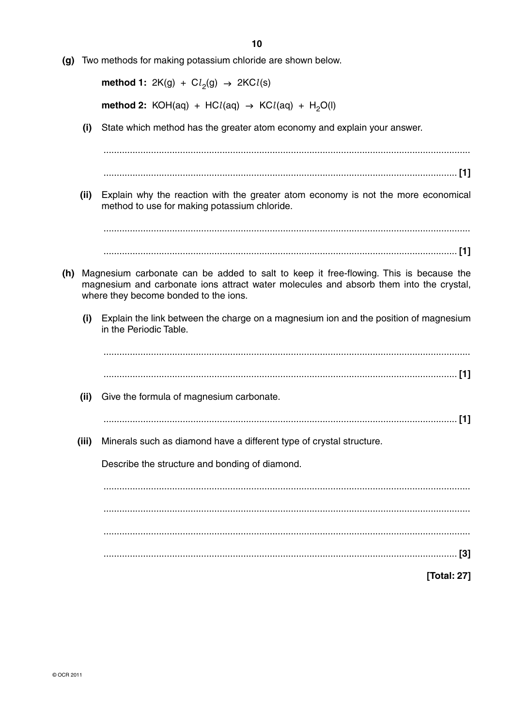**(g)** Two methods for making potassium chloride are shown below.

 **method 1:** 2K(g) +  $Cl<sub>2</sub>(g)$   $\rightarrow$  2KC*l*(s) **method 2:** KOH(aq) + HC $l$ (aq)  $\rightarrow$  KC $l$ (aq) + H<sub>2</sub>O(l)

 **(i)** State which method has the greater atom economy and explain your answer.

 ........................................................................................................................................... ...................................................................................................................................... **[1] (ii)** Explain why the reaction with the greater atom economy is not the more economical method to use for making potassium chloride. ........................................................................................................................................... ...................................................................................................................................... **[1] (h)** Magnesium carbonate can be added to salt to keep it free-flowing. This is because the magnesium and carbonate ions attract water molecules and absorb them into the crystal, where they become bonded to the ions.  **(i)** Explain the link between the charge on a magnesium ion and the position of magnesium in the Periodic Table. ........................................................................................................................................... ...................................................................................................................................... **[1] (ii)** Give the formula of magnesium carbonate. ...................................................................................................................................... **[1] (iii)** Minerals such as diamond have a different type of crystal structure. Describe the structure and bonding of diamond. ........................................................................................................................................... ........................................................................................................................................... ........................................................................................................................................... ...................................................................................................................................... **[3] [Total: 27]**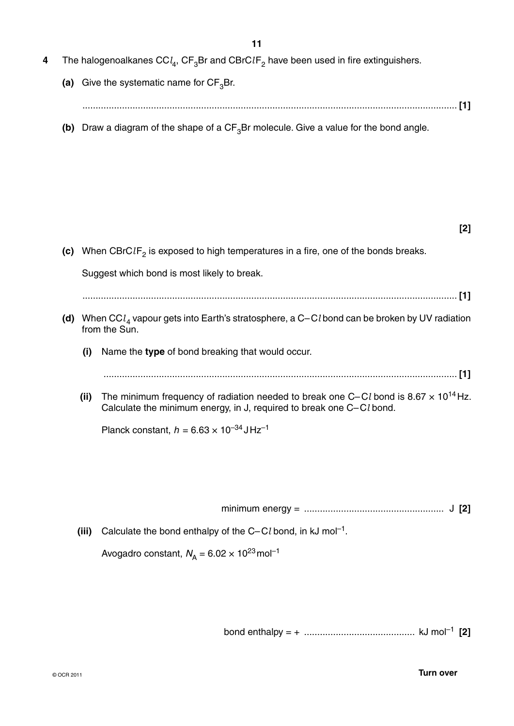- **4** The halogenoalkanes CC $l_4$ , CF<sub>3</sub>Br and CBrC $l$ F<sub>2</sub> have been used in fire extinguishers.
	- (a) Give the systematic name for  $CF_3Br$ . .............................................................................................................................................. **[1]**
	- **(b)** Draw a diagram of the shape of a  $CF_3Br$  molecule. Give a value for the bond angle.

| ۰. |  |
|----|--|
|    |  |

| (c) |       | When CBrCIF <sub>2</sub> is exposed to high temperatures in a fire, one of the bonds breaks.                                                                                   |
|-----|-------|--------------------------------------------------------------------------------------------------------------------------------------------------------------------------------|
|     |       | Suggest which bond is most likely to break.                                                                                                                                    |
|     |       |                                                                                                                                                                                |
|     |       | (d) When CC $l_A$ vapour gets into Earth's stratosphere, a C-Cl bond can be broken by UV radiation<br>from the Sun.                                                            |
|     | (i)   | Name the type of bond breaking that would occur.                                                                                                                               |
|     |       |                                                                                                                                                                                |
|     | (ii)  | The minimum frequency of radiation needed to break one C–Cl bond is 8.67 $\times$ 10 <sup>14</sup> Hz.<br>Calculate the minimum energy, in J, required to break one C-Cl bond. |
|     |       | Planck constant, $h = 6.63 \times 10^{-34} \text{J} \text{Hz}^{-1}$                                                                                                            |
|     |       |                                                                                                                                                                                |
|     |       |                                                                                                                                                                                |
|     |       |                                                                                                                                                                                |
|     |       |                                                                                                                                                                                |
|     | (iii) | Calculate the bond enthalpy of the $C-Cl$ bond, in kJ mol <sup>-1</sup> .                                                                                                      |
|     |       | Avogadro constant, $N_A = 6.02 \times 10^{23}$ mol <sup>-1</sup>                                                                                                               |
|     |       |                                                                                                                                                                                |

bond enthalpy = + .......................................... kJ mol–1 **[2]**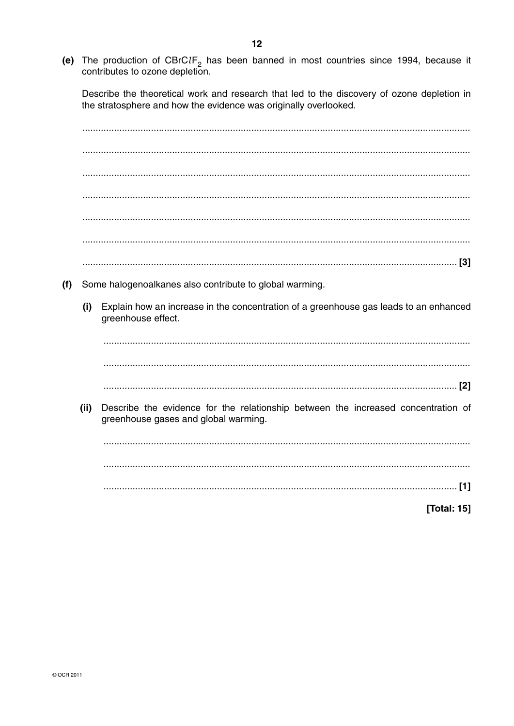(e) The production of  $CBrCIF_2$  has been banned in most countries since 1994, because it contributes to ozone depletion.

Describe the theoretical work and research that led to the discovery of ozone depletion in the stratosphere and how the evidence was originally overlooked.

| (f) |      | Some halogenoalkanes also contribute to global warming.                                                                   |
|-----|------|---------------------------------------------------------------------------------------------------------------------------|
|     | (i)  | Explain how an increase in the concentration of a greenhouse gas leads to an enhanced<br>greenhouse effect.               |
|     |      |                                                                                                                           |
|     |      |                                                                                                                           |
|     |      |                                                                                                                           |
|     | (ii) | Describe the evidence for the relationship between the increased concentration of<br>greenhouse gases and global warming. |
|     |      |                                                                                                                           |
|     |      |                                                                                                                           |
|     |      | [1]                                                                                                                       |
|     |      | [Total: 15]                                                                                                               |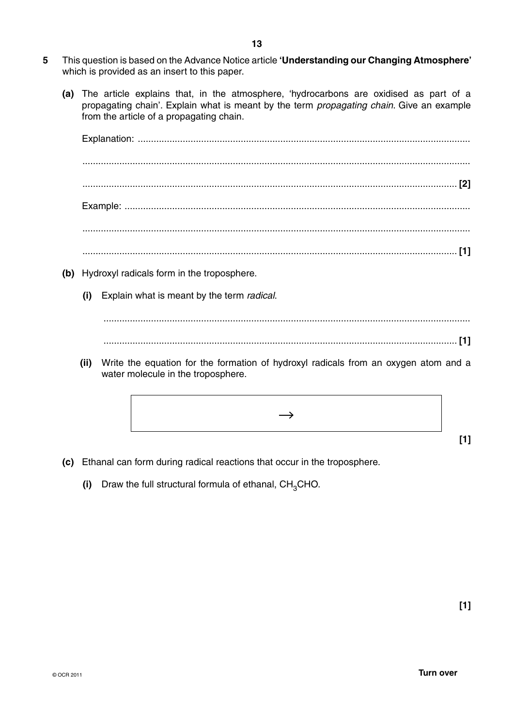- **5** This question is based on the Advance Notice article **'Understanding our Changing Atmosphere'**  which is provided as an insert to this paper.
	- **(a)** The article explains that, in the atmosphere, 'hydrocarbons are oxidised as part of a propagating chain'. Explain what is meant by the term *propagating chain*. Give an example from the article of a propagating chain.

Explanation: .............................................................................................................................. ................................................................................................................................................... .............................................................................................................................................. **[2]** Example: ................................................................................................................................... ................................................................................................................................................... .............................................................................................................................................. **[1] (b)** Hydroxyl radicals form in the troposphere.  **(i)** Explain what is meant by the term *radical*. ........................................................................................................................................... ...................................................................................................................................... **[1]**

 **(ii)** Write the equation for the formation of hydroxyl radicals from an oxygen atom and a water molecule in the troposphere.

 $\rightarrow$ 

- **(c)** Ethanal can form during radical reactions that occur in the troposphere.
	- **(i)** Draw the full structural formula of ethanal, CH<sub>3</sub>CHO.

**[1]**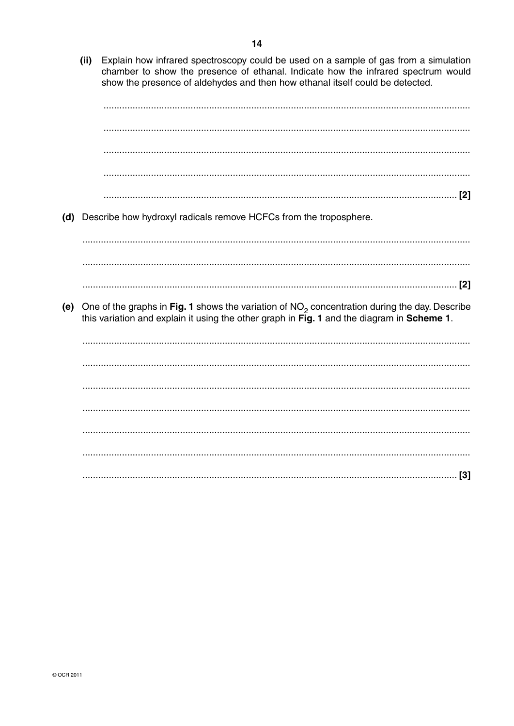$(ii)$ Explain how infrared spectroscopy could be used on a sample of gas from a simulation chamber to show the presence of ethanal. Indicate how the infrared spectrum would show the presence of aldehydes and then how ethanal itself could be detected.

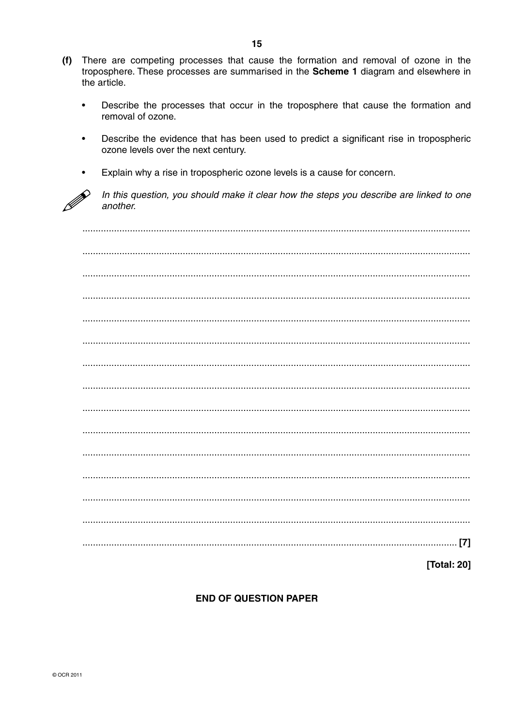- (f) There are competing processes that cause the formation and removal of ozone in the troposphere. These processes are summarised in the Scheme 1 diagram and elsewhere in the article.
	- Describe the processes that occur in the troposphere that cause the formation and  $\bullet$ removal of ozone.
	- Describe the evidence that has been used to predict a significant rise in tropospheric  $\bullet$ ozone levels over the next century.
	- Explain why a rise in tropospheric ozone levels is a cause for concern.



In this question, you should make it clear how the steps you describe are linked to one another

[Total: 20]

## **END OF QUESTION PAPER**